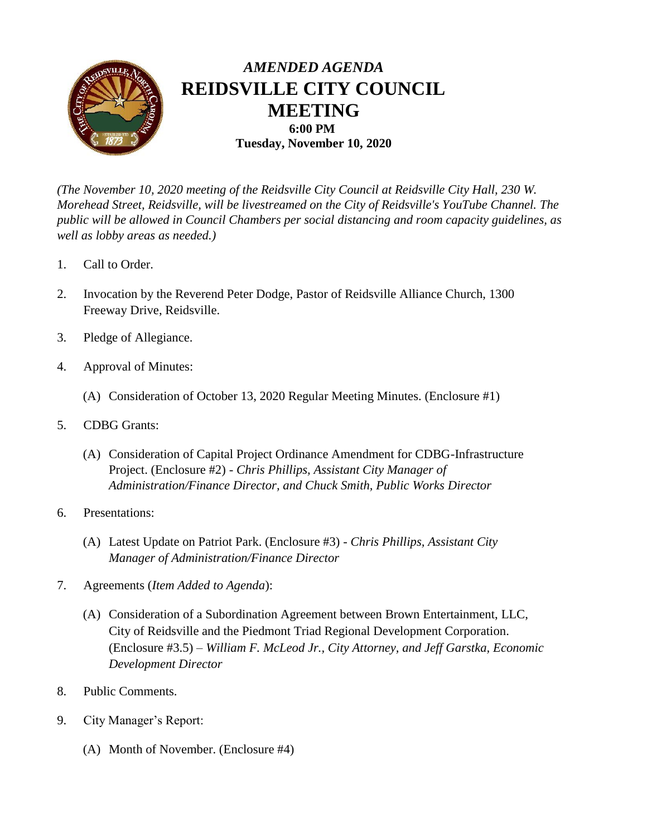

## *AMENDED AGENDA* **REIDSVILLE CITY COUNCIL MEETING 6:00 PM Tuesday, November 10, 2020**

*(The November 10, 2020 meeting of the Reidsville City Council at Reidsville City Hall, 230 W. Morehead Street, Reidsville, will be livestreamed on the City of Reidsville's YouTube Channel. The public will be allowed in Council Chambers per social distancing and room capacity guidelines, as well as lobby areas as needed.)*

- 1. Call to Order.
- 2. Invocation by the Reverend Peter Dodge, Pastor of Reidsville Alliance Church, 1300 Freeway Drive, Reidsville.
- 3. Pledge of Allegiance.
- 4. Approval of Minutes:
	- (A) Consideration of October 13, 2020 Regular Meeting Minutes. (Enclosure #1)
- 5. CDBG Grants:
	- (A) Consideration of Capital Project Ordinance Amendment for CDBG-Infrastructure Project. (Enclosure #2) - *Chris Phillips, Assistant City Manager of Administration/Finance Director, and Chuck Smith, Public Works Director*
- 6. Presentations:
	- (A) Latest Update on Patriot Park. (Enclosure #3) *Chris Phillips, Assistant City Manager of Administration/Finance Director*
- 7. Agreements (*Item Added to Agenda*):
	- (A) Consideration of a Subordination Agreement between Brown Entertainment, LLC, City of Reidsville and the Piedmont Triad Regional Development Corporation. (Enclosure #3.5) – *William F. McLeod Jr., City Attorney, and Jeff Garstka, Economic Development Director*
- 8. Public Comments.
- 9. City Manager's Report:
	- (A) Month of November. (Enclosure #4)